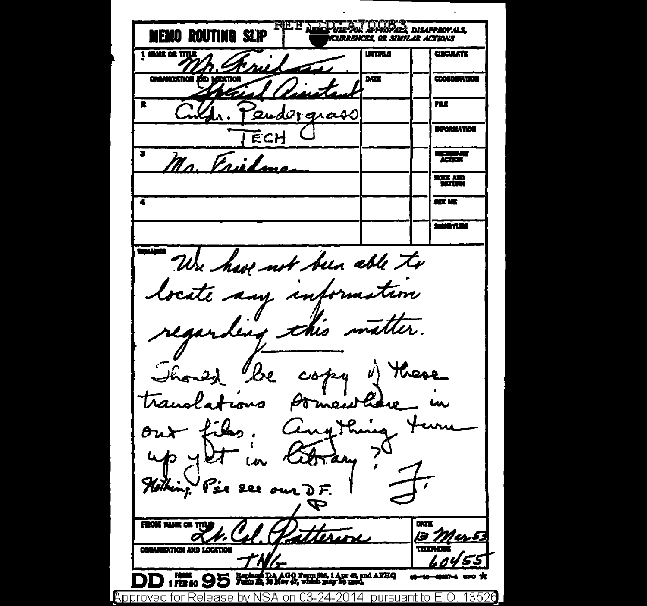JUJOR DISAPPROVALS **MEMO ROUTING SLIP NCURRENCES OR SIMILAR ACTIONS INTIALS CIRCULATE** 1 MANE OR TITLE DATE **COORDOMATION ORGANIZATION** πr endorgrass **INFORMATION** ECH **RECEBBARY** Na Frieda **CITY AND** تتبتن **SIT NE BANKTURE** was We have not been able to tocate any information regarders this matter. Though be copy v) these translations Pomenthine Cinq this out files Kitrany?  $40<sub>1</sub>$ Hothing. Pse see our D.F. FROM MAKE OR TITL DATE Mu§ **BRANIZATION AND LOCATION** Booking DA AGO Form 805, 1 Apr 48, and AFHQ / 1 Fist 80 メ LApproved for Release by NSA on 03-24-2014 pursuant to E.O. 13520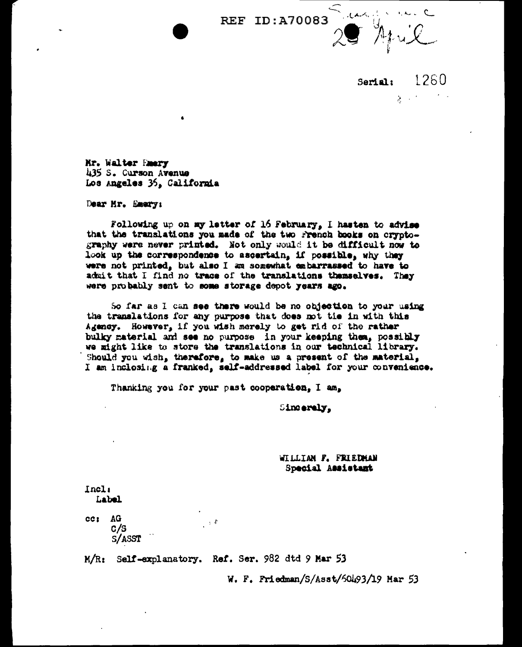**REF ID: A70083** 

1260 Sariali  $\mathcal{L}^{\text{max}}$ 

Mr. Walter Emery 435 S. Curson Avenue Los Angeles 36, California

Dear Mr. Emery:

Following up on my letter of 16 February, I hasten to advise that the translations you made of the two rrench books on cryptography were never printed. Not only would it be difficult now to look up the correspondence to ascertain, if possible, why they were not printed, but also I am somewhat embarrassed to have to admit that I find no trace of the translations themselves. They were probably sent to some storage depot years ago.

So far as I can see there would be no objection to your using the translations for any purpose that does not tie in with this Agency. However, if you wish merely to get rid of the rather bulky material and see no purpose in your keeping then, possibly we might like to store the translations in our technical library. Should you wish, therefore, to make us a present of the material, I am inclosing a franked, self-addressed label for your convenience.

Thanking you for your past cooperation, I am,

Sincerely,

WILLIAN F. FRIEDMAN Special Assistant

Incl: Label

cc: AG  $\pm$  4  $c/s$ S/ASST

M/R: Self-explanatory. Ref. Ser. 982 dtd 9 Mar 53

W. F. Friedman/S/Asst/60493/19 Mar 53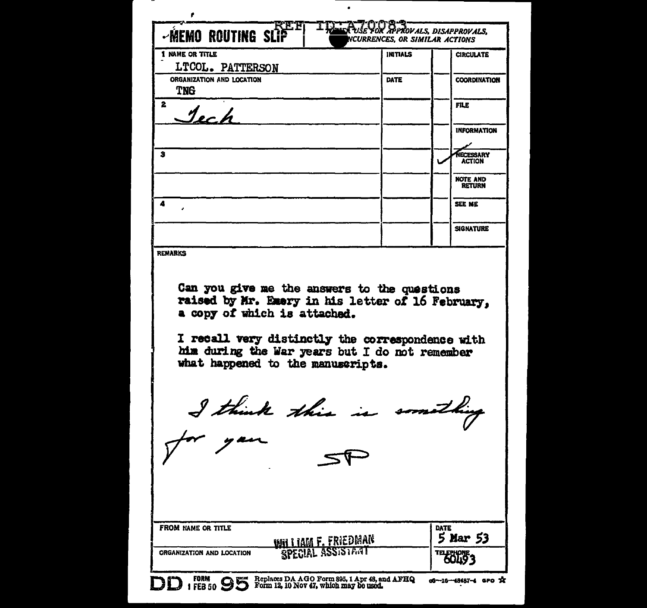| -MEMO ROUTING SLIP                                                                                                                                                                                      | ON SPPROVALS, DISAPPROVALS,<br>NCURRENCES, OR SIMILAR ACTIONS |                                   |
|---------------------------------------------------------------------------------------------------------------------------------------------------------------------------------------------------------|---------------------------------------------------------------|-----------------------------------|
| 1 NAME OR TITLE                                                                                                                                                                                         | <b>INITIALS</b>                                               | <b>CIRCULATE</b>                  |
| LTCOL. PATTERSON                                                                                                                                                                                        |                                                               |                                   |
| ORGANIZATION AND LOCATION                                                                                                                                                                               | <b>DATE</b>                                                   | <b>COORDINATION</b>               |
| TNG                                                                                                                                                                                                     |                                                               |                                   |
| $\mathbf{z}$<br>$\mathcal{I}$ er h                                                                                                                                                                      |                                                               | <b>FILE</b>                       |
|                                                                                                                                                                                                         |                                                               | <b>INFORMATION</b>                |
| з                                                                                                                                                                                                       |                                                               | <b>NECESSARY</b><br><b>ACTION</b> |
|                                                                                                                                                                                                         |                                                               | <b>NOTE AND</b>                   |
|                                                                                                                                                                                                         |                                                               | <b>RETURN</b>                     |
| 4                                                                                                                                                                                                       |                                                               | SEE ME                            |
|                                                                                                                                                                                                         |                                                               | <b>SIGNATURE</b>                  |
| <b>REMARKS</b><br>Can you give me the answers to the questions<br>raised by Mr. Emery in his letter of 16 February.<br>a copy of which is attached.<br>I recall very distinctly the correspondence with |                                                               |                                   |
| him during the War years but I do not remember<br>what happened to the manuscripts.<br>I think this is something                                                                                        |                                                               |                                   |
| <b>FROM NAME OR TITLE</b>                                                                                                                                                                               |                                                               | DATE                              |
| ORGANIZATION AND LOCATION                                                                                                                                                                               | <b>WHI LIAM F. FRIEDMAN</b><br>SPECIAL ASSISTANT              | 5 Mar 53<br><b>THEOLY:</b>        |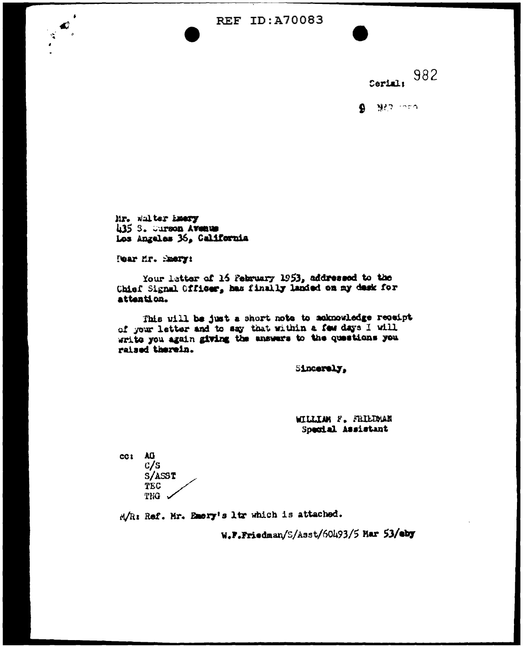REF ID: A70083

Cerial: 982

 $9.922$  men

Mr. whiter Emery h35 S. Curson Avenue Los Angeles 36, California

Tear Mr. Smery:

 $\mathbf{C}$  $\sigma_{\rm A}^2$ 

> Your latter of 16 February 1953, addressed to the Chief Signal Officer, has finally landed on my desk for attention.

This will be just a short note to acknowledge receipt of your letter and to say that within a few days I will write you again giving the answers to the questions you raised therein.

Sincerely.

WILLIAM F. FRIEDMAN Special Assistant

cc: AG  $c/s$ S/ASST **TEC** THG .

M/R: Ref. Mr. Emery's ltr which is attached.

W.F.Friedman/S/Asst/60493/5 Mar 53/eby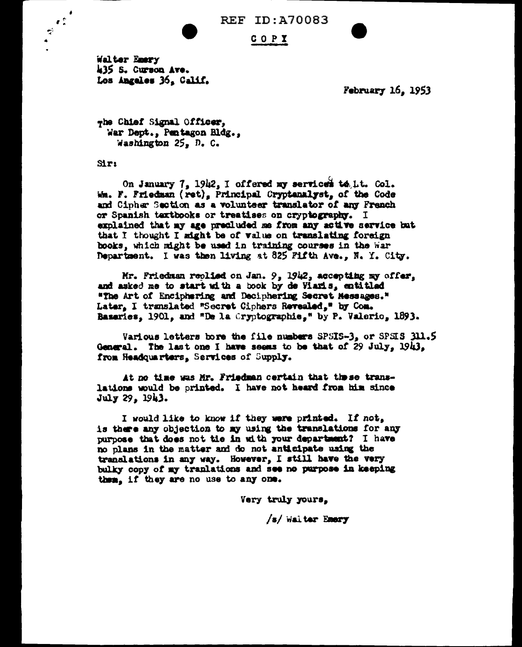**REF ID: A70083** 

COPI

Walter Emery 435 S. Curson Ave. Los Angeles 36. Calif.

February 16, 1953

whe Chief Signal Officer, War Dept., Pentagon Bldg.. Washington 25, D. C.

 $Sir:$ 

 $\mathbf{r}$ 

 $\vec{z}$  $\ddot{\bullet}$ 

> On January 7, 1942, I offered my serviced to Lt. Col. Wm. F. Friedman (ret), Principal Cryptenalyst, of the Code and Cipher Section as a volunteer translator of any French or Spanish taxtbooks or treatises on cryptography. I explained that my age precluded me from any active service but that I thought I might be of value on translating foreign books, which might be used in training courses in the War Department. I was then living at 825 Fifth Ave., N. Y. City.

Mr. Friedman replied on Jan. 9, 1942, accepting my offer, and asked me to start with a book by de Viaris, entitled "The Art of Enciphering and Deciphering Secret Messages." Later, I translated "Secret Ciphers Revealed," by Com. Baseries, 1901, and "De la Cryptographie," by P. Valerio, 1893.

Various letters bore the file numbers SPSIS-3, or SPSIS 311.5 General. The last one I have seems to be that of 29 July,  $1943$ , from Headquarters, Services of Supply.

At no time was Mr. Friedman certain that these translations would be printed. I have not heard from him since July 29, 1943.

I would like to know if they were printed. If not, is there any objection to my using the translations for any purpose that does not tie in with your department? I have no plans in the matter and do not anticipate using the translations in any way. However, I still have the very bulky copy of my tranlations and see no purpose in keeping them. if they are no use to any one.

Very truly yours.

/s/ Walter Emery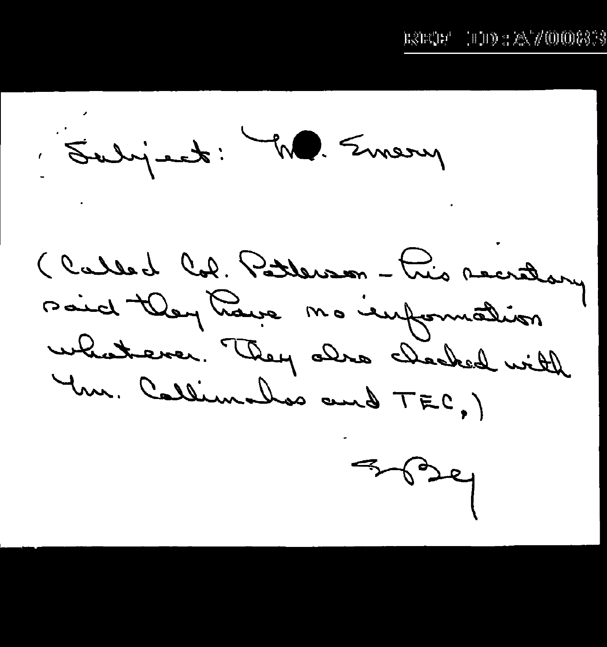$(11) : 25/000833$ rsecr'

Subject: M. Emery

(Called Col. Potterson-tris recrétary said they have no empounation whatever. They also checked with Yur. Callimathos and TEC,)

 $7024$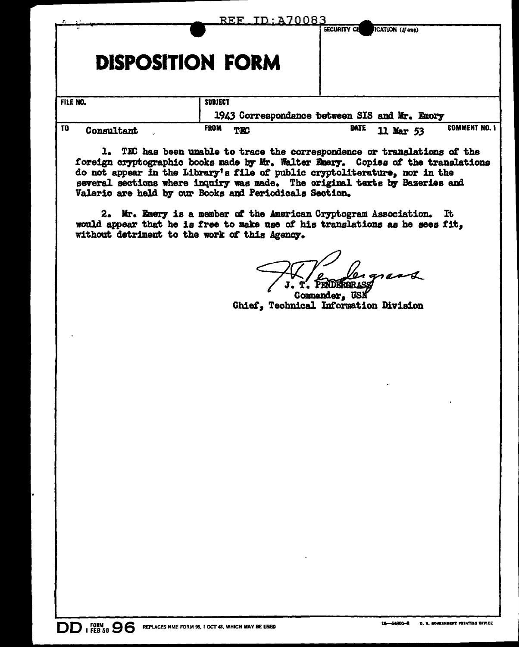|                              | <u>REF ID:A70083</u>    | SECURITY CU<br>ICATION (If any)                                     |
|------------------------------|-------------------------|---------------------------------------------------------------------|
|                              | <b>DISPOSITION FORM</b> |                                                                     |
| FILE NO.                     | <b>SUBJECT</b>          | 1943 Correspondance between SIS and Mr. Emory                       |
| T <sub>0</sub><br>Consultant | <b>FROM</b><br>TEC      | <b>COMMENT NO. 1</b><br><b>DATE</b><br>$\mathbf u$<br><b>Mar 53</b> |

TEC has been unable to trace the correspondence or translations of the foreign cryptographic books made by Mr. Walter Emery. Copies of the translations do not appear in the Library's file of public cryptoliterature, nor in the several sections where inquiry was made. The original texts by Bazeries and Valerio are held by our Books and Periodicals Section.

2. Mr. Emery is a member of the American Cryptogram Association. It would appear that he is free to make use of his translations as he sees fit. without detriment to the work of this Agency.

T. PENDERGRASS

Commander. USN Chief, Technical Information Division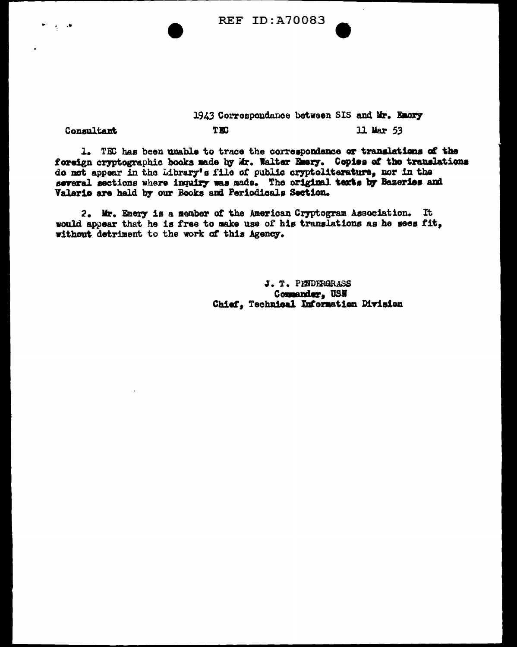

## 1943 Correspondance between SIS and Mr. Emory **TEC** 11 Mar 53

## Consultant

1. TEC has been unable to trace the correspondence or translations of the foreign cryptographic books made by Mr. Walter Emery. Copies of the translations do not appear in the Library's file of public cryptoliterature, nor in the several sections where inquiry was made. The original texts by Bazeries and Valerie are held by our Books and Periodicals Section.

2. Mr. Emery is a member of the American Cryptogram Association. It would appear that he is free to make use of his translations as he sees fit, without detriment to the work of this Agency.

> J. T. PENDERGRASS Commander, USN Chief, Technical Information Division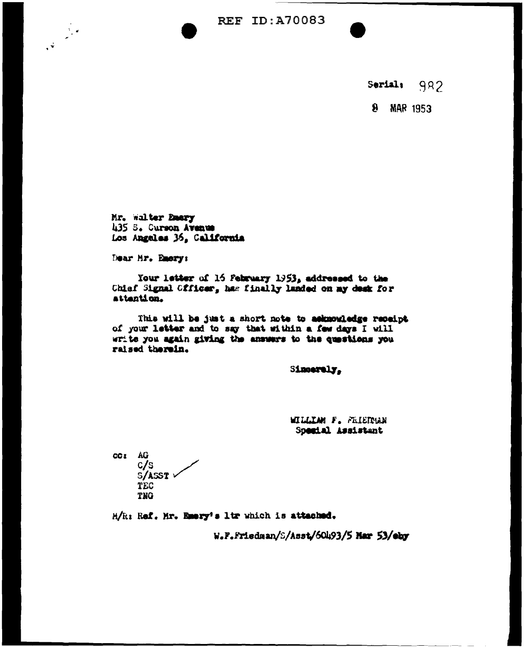**REF ID:A70083** 

982 Serials

**MAR 1953**  $\mathbf{a}$ 

Mr. Walter Emery 435 S. Curson Avenue Los Angeles 36, California

Dear Mr. Emery:

 $\ddot{\cdot}$ 

Your letter of 16 February 1953, addressed to the Chief Signal Cfficer, has finally landed on my desk for attention.

This will be just a short note to asknowledge receipt of your letter and to say that within a few days I will write you again giving the answers to the questions you raised therein.

Sincerely,

**WILLIAM F. FRIETNAM** Special Assistant

CC: AG c/s S/ASST V TEC TNG

M/R: Ref. Mr. Emery's ltr which is attached.

W.F.Friedman/S/Asst/60493/5 Mar 53/eby